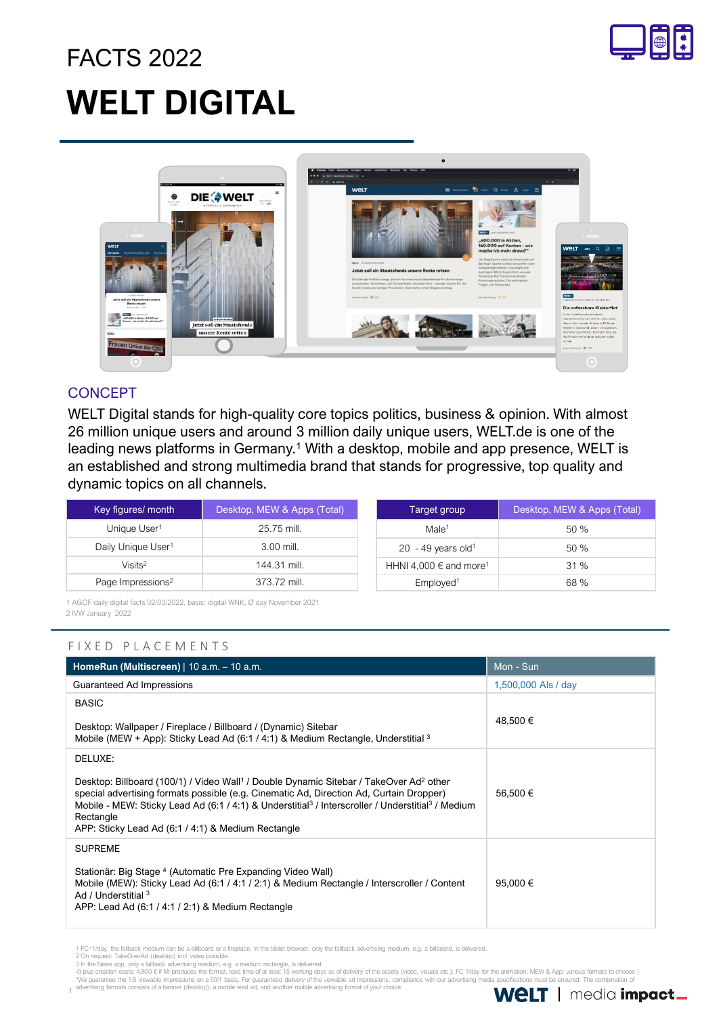# FACTS 2022 **WELT DIGITAL**





### **CONCEPT**

WELT Digital stands for high-quality core topics politics, business & opinion. With almost 26 million unique users and around 3 million daily unique users, WELT.de is one of the leading news platforms in Germany.<sup>1</sup> With a desktop, mobile and app presence, WELT is an established and strong multimedia brand that stands for progressive, top quality and dynamic topics on all channels.

| Key figures/ month             | Desktop, MEW & Apps (Total) |  | Target group                           | Desktop, MEW & Apps (Total) |
|--------------------------------|-----------------------------|--|----------------------------------------|-----------------------------|
| Unique User <sup>1</sup>       | 25.75 mill.                 |  | Male <sup>1</sup>                      | 50 %                        |
| Daily Unique User <sup>1</sup> | $3.00$ mill.                |  | 20 - 49 years old <sup>1</sup>         | 50 %                        |
| Visits <sup>2</sup>            | 144.31 mill.                |  | HHNI 4,000 $\in$ and more <sup>1</sup> | 31%                         |
| Page Impressions <sup>2</sup>  | 373.72 mill.                |  | Employed <sup>1</sup>                  | 68 %                        |

1 AGOF daily digital facts 02/03/2022, basis: digital WNK; Ø day November 2021 2 IVW January 2022

### F I X E D P L A C E M E N T S

| HomeRun (Multiscreen)   10 a.m. - 10 a.m.                                                                                                                                                                                                                                                                                                                                                                            | Mon - Sun           |
|----------------------------------------------------------------------------------------------------------------------------------------------------------------------------------------------------------------------------------------------------------------------------------------------------------------------------------------------------------------------------------------------------------------------|---------------------|
| Guaranteed Ad Impressions                                                                                                                                                                                                                                                                                                                                                                                            | 1,500,000 Als / day |
| <b>BASIC</b><br>Desktop: Wallpaper / Fireplace / Billboard / (Dynamic) Sitebar<br>Mobile (MEW + App): Sticky Lead Ad (6:1 / 4:1) & Medium Rectangle, Understitial $3$                                                                                                                                                                                                                                                | 48,500 €            |
| DELUXE:<br>Desktop: Billboard (100/1) / Video Wall <sup>1</sup> / Double Dynamic Sitebar / TakeOver Ad <sup>2</sup> other<br>special advertising formats possible (e.g. Cinematic Ad, Direction Ad, Curtain Dropper)<br>Mobile - MEW: Sticky Lead Ad (6:1 / 4:1) & Understitial <sup>3</sup> / Interscroller / Understitial <sup>3</sup> / Medium<br>Rectangle<br>APP: Sticky Lead Ad (6:1 / 4:1) & Medium Rectangle | 56.500 €            |
| <b>SUPREME</b><br>Stationär: Big Stage 4 (Automatic Pre Expanding Video Wall)<br>Mobile (MEW): Sticky Lead Ad (6:1 / 4:1 / 2:1) & Medium Rectangle / Interscroller / Content<br>Ad / Understitial 3<br>APP: Lead Ad (6:1 / 4:1 / 2:1) & Medium Rectangle                                                                                                                                                             | 95.000 $\in$        |

1 FC=1/day, the fallback medium can be a billboard or a fireplace. In the tablet browser, only the fallback advertising medium, e.g. a billboard, is delivered.

1

2 On request: TakeOverAd (desktop) incl. video possible.<br>3 In the News app, only a fallback advertising medium age, a medium rectangle, is delivered.<br>4) plus creation costs: 4,800 € if MI produces the format, lead time of \*We guarantee the 1.5 viewable impressions on a 50/1 basis. For guaranteed delivery of the viewable ad impressions, compliance with our advertising media specifications must be ensured. The combination of<br>advertising forma

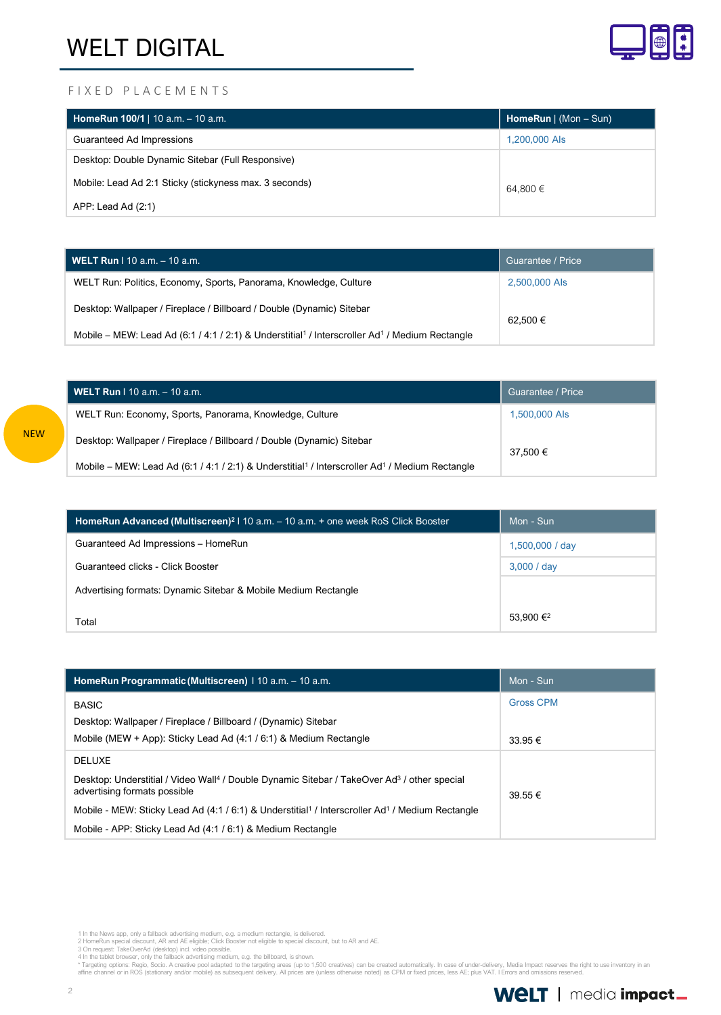

#### F I X E D P L A C E M E N T S

| HomeRun $100/1$   $10$ a.m. - 10 a.m.                  | <b>HomeRun</b> $ $ (Mon – Sun) |
|--------------------------------------------------------|--------------------------------|
| Guaranteed Ad Impressions                              | 1,200,000 Als                  |
| Desktop: Double Dynamic Sitebar (Full Responsive)      |                                |
| Mobile: Lead Ad 2:1 Sticky (stickyness max. 3 seconds) | 64.800 €                       |
| APP: Lead Ad (2:1)                                     |                                |

| <b>WELT Run</b> I 10 a.m. $-$ 10 a.m.                                                                                  | Guarantee / Price |
|------------------------------------------------------------------------------------------------------------------------|-------------------|
| WELT Run: Politics, Economy, Sports, Panorama, Knowledge, Culture                                                      | 2,500,000 Als     |
| Desktop: Wallpaper / Fireplace / Billboard / Double (Dynamic) Sitebar                                                  | 62.500 €          |
| Mobile – MEW: Lead Ad (6:1 / 4:1 / 2:1) & Understitial <sup>1</sup> / Interscroller Ad <sup>1</sup> / Medium Rectangle |                   |

| <b>WELT Run</b> I 10 a.m. - 10 a.m.                                                                                    | Guarantee / Price |
|------------------------------------------------------------------------------------------------------------------------|-------------------|
| WELT Run: Economy, Sports, Panorama, Knowledge, Culture                                                                | 1,500,000 Als     |
| Desktop: Wallpaper / Fireplace / Billboard / Double (Dynamic) Sitebar                                                  | 37.500 €          |
| Mobile – MEW: Lead Ad (6:1 / 4:1 / 2:1) & Understitial <sup>1</sup> / Interscroller Ad <sup>1</sup> / Medium Rectangle |                   |

| <b>HomeRun Advanced (Multiscreen)</b> <sup>2</sup>   10 a.m. $-$ 10 a.m. $+$ one week RoS Click Booster | Mon - Sun             |
|---------------------------------------------------------------------------------------------------------|-----------------------|
| Guaranteed Ad Impressions - HomeRun                                                                     | 1,500,000 / day       |
| Guaranteed clicks - Click Booster                                                                       | 3,000 / day           |
| Advertising formats: Dynamic Sitebar & Mobile Medium Rectangle                                          |                       |
| Total                                                                                                   | 53,900 € <sup>2</sup> |

| HomeRun Programmatic (Multiscreen)   10 a.m. - 10 a.m.                                                                                              | Mon - Sun                       |
|-----------------------------------------------------------------------------------------------------------------------------------------------------|---------------------------------|
| <b>BASIC</b><br>Desktop: Wallpaper / Fireplace / Billboard / (Dynamic) Sitebar<br>Mobile (MEW + App): Sticky Lead Ad $(4:1/6:1)$ & Medium Rectangle | <b>Gross CPM</b><br>$33.95 \in$ |
| <b>DELUXE</b>                                                                                                                                       |                                 |
| Desktop: Understitial / Video Wall <sup>4</sup> / Double Dynamic Sitebar / TakeOver Ad <sup>3</sup> / other special<br>advertising formats possible | $39.55 \in$                     |
| Mobile - MEW: Sticky Lead Ad (4:1 / 6:1) & Understitial <sup>1</sup> / Interscroller Ad <sup>1</sup> / Medium Rectangle                             |                                 |
| Mobile - APP: Sticky Lead Ad (4:1 / 6:1) & Medium Rectangle                                                                                         |                                 |

1 In the News app, only a fallback advertising medium, e.g. a medium rectangle, is delivered.<br>2 HomeRun special discount, AR and AE eligible (Click Booster not eligible to special discount, but to AR and AE.<br>3 On request:

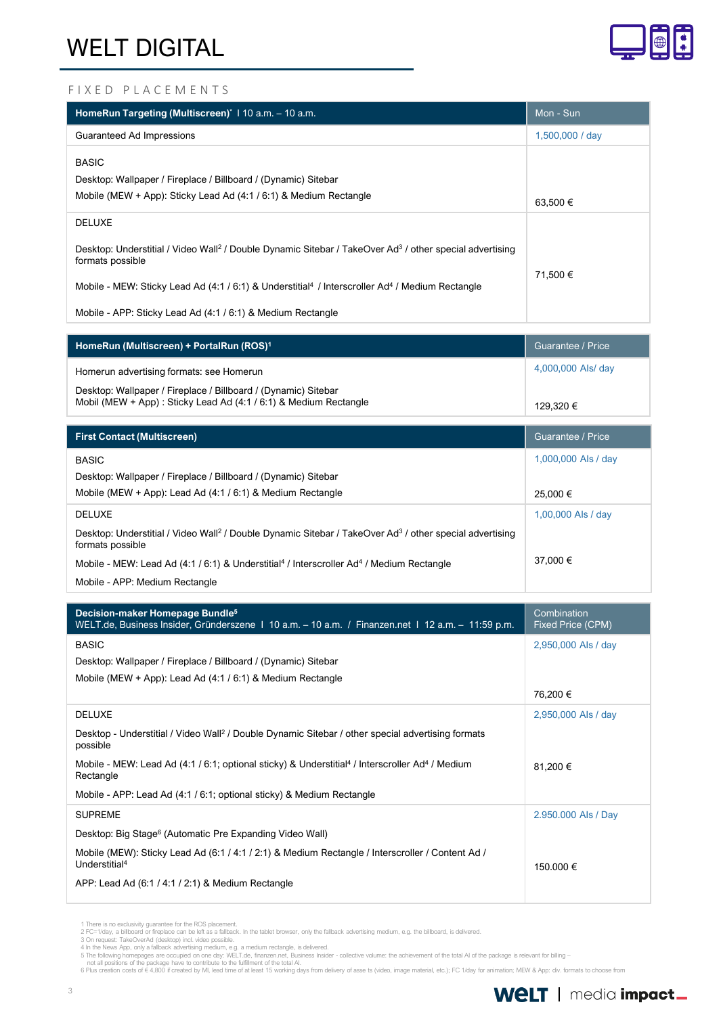

#### F I X E D P L A C E M E N T S

| HomeRun Targeting (Multiscreen)* 110 a.m. - 10 a.m.                                                                                                 | Mon - Sun       |
|-----------------------------------------------------------------------------------------------------------------------------------------------------|-----------------|
| Guaranteed Ad Impressions                                                                                                                           | 1,500,000 / day |
| <b>BASIC</b><br>Desktop: Wallpaper / Fireplace / Billboard / (Dynamic) Sitebar<br>Mobile (MEW + App): Sticky Lead Ad (4:1 / 6:1) & Medium Rectangle | 63,500 €        |
| <b>DELUXE</b>                                                                                                                                       |                 |
| Desktop: Understitial / Video Wall <sup>2</sup> / Double Dynamic Sitebar / TakeOver Ad <sup>3</sup> / other special advertising<br>formats possible |                 |
| Mobile - MEW: Sticky Lead Ad (4:1 / 6:1) & Understitial <sup>4</sup> / Interscroller Ad <sup>4</sup> / Medium Rectangle                             | 71.500 €        |
| Mobile - APP: Sticky Lead Ad (4:1 / 6:1) & Medium Rectangle                                                                                         |                 |

| HomeRun (Multiscreen) + PortalRun (ROS) <sup>1</sup>                                                                               | Guarantee / Price  |
|------------------------------------------------------------------------------------------------------------------------------------|--------------------|
| Homerun advertising formats: see Homerun                                                                                           | 4,000,000 Als/ day |
| Desktop: Wallpaper / Fireplace / Billboard / (Dynamic) Sitebar<br>Mobil (MEW + App): Sticky Lead Ad (4:1 / 6:1) & Medium Rectangle | 129.320 €          |

| <b>First Contact (Multiscreen)</b>                                                                                                                  | Guarantee / Price   |
|-----------------------------------------------------------------------------------------------------------------------------------------------------|---------------------|
| <b>BASIC</b>                                                                                                                                        | 1,000,000 Als / day |
| Desktop: Wallpaper / Fireplace / Billboard / (Dynamic) Sitebar                                                                                      |                     |
| Mobile (MEW + App): Lead Ad (4:1 / 6:1) & Medium Rectangle                                                                                          | 25.000 €            |
| <b>DELUXE</b>                                                                                                                                       | 1,00,000 Als / day  |
| Desktop: Understitial / Video Wall <sup>2</sup> / Double Dynamic Sitebar / TakeOver Ad <sup>3</sup> / other special advertising<br>formats possible |                     |
| Mobile - MEW: Lead Ad (4:1 / 6:1) & Understitial <sup>4</sup> / Interscroller Ad <sup>4</sup> / Medium Rectangle                                    | 37,000 €            |
| Mobile - APP: Medium Rectangle                                                                                                                      |                     |

| Decision-maker Homepage Bundle <sup>5</sup><br>WELT.de, Business Insider, Gründerszene 1 10 a.m. – 10 a.m. / Finanzen.net 1 12 a.m. – 11:59 p.m. | Combination<br>Fixed Price (CPM) |
|--------------------------------------------------------------------------------------------------------------------------------------------------|----------------------------------|
| <b>BASIC</b>                                                                                                                                     | 2,950,000 Als / day              |
| Desktop: Wallpaper / Fireplace / Billboard / (Dynamic) Sitebar                                                                                   |                                  |
| Mobile (MEW + App): Lead Ad $(4:1/6:1)$ & Medium Rectangle                                                                                       |                                  |
|                                                                                                                                                  | 76,200 €                         |
| <b>DELUXE</b>                                                                                                                                    | 2,950,000 Als / day              |
| Desktop - Understitial / Video Wall <sup>2</sup> / Double Dynamic Sitebar / other special advertising formats<br>possible                        |                                  |
| Mobile - MEW: Lead Ad (4:1 / 6:1; optional sticky) & Understitial <sup>4</sup> / Interscroller Ad <sup>4</sup> / Medium<br>Rectangle             | 81,200 €                         |
| Mobile - APP: Lead Ad (4:1 / 6:1; optional sticky) & Medium Rectangle                                                                            |                                  |
| <b>SUPREME</b>                                                                                                                                   | 2.950.000 Als / Day              |
| Desktop: Big Stage <sup>6</sup> (Automatic Pre Expanding Video Wall)                                                                             |                                  |
| Mobile (MEW): Sticky Lead Ad (6:1 / 4:1 / 2:1) & Medium Rectangle / Interscroller / Content Ad /<br>Understitial <sup>4</sup>                    | 150.000 €                        |
| APP: Lead Ad (6:1 / 4:1 / 2:1) & Medium Rectangle                                                                                                |                                  |

<sup>1</sup> There is no exclusivity guarantee for the ROS placement.<br>2 FC=1/day, a billboard or freplace can be left as a fallback. In the tablet browser, only the fallback advertising medium, e.g. the billboard, is delivered.<br>3 On

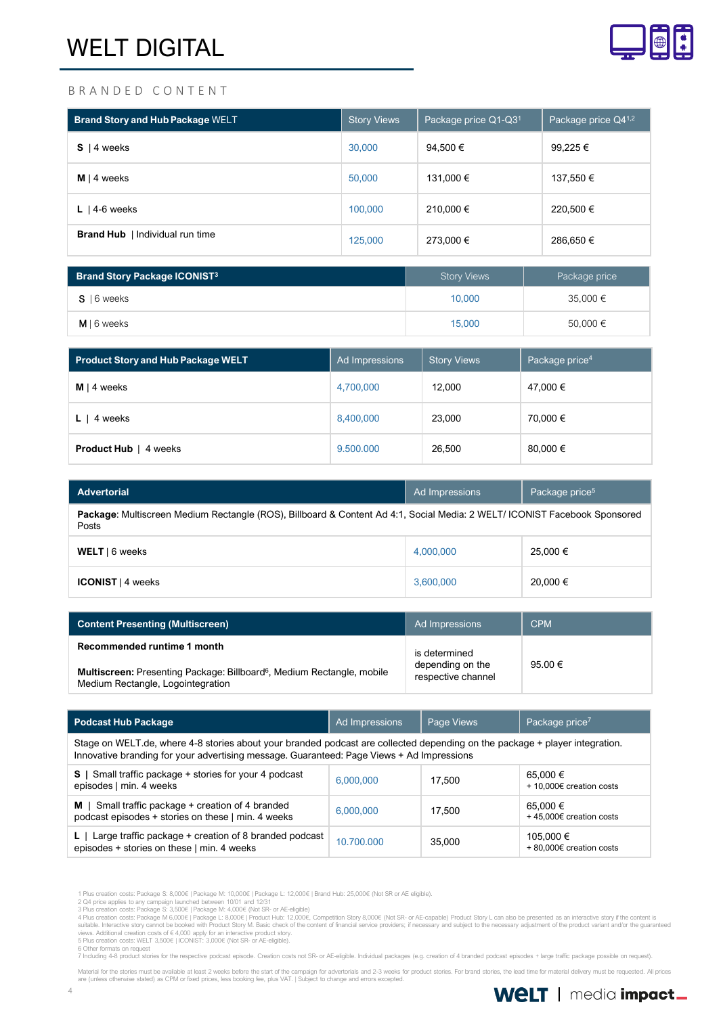

#### B R A N D E D C O N T E N T

| <b>Brand Story and Hub Package WELT</b> | <b>Story Views</b> | Package price Q1-Q31 | Package price Q41,2 |
|-----------------------------------------|--------------------|----------------------|---------------------|
| 4 weeks<br>s                            | 30,000             | 94,500 €             | 99,225 €            |
| $M \mid 4$ weeks                        | 50,000             | 131,000 €            | 137,550 €           |
| L   4-6 weeks                           | 100,000            | 210.000 €            | 220,500 €           |
| <b>Brand Hub</b>   Individual run time  | 125,000            | 273,000 €            | 286,650 €           |

| <b>Brand Story Package ICONIST3</b> | <b>Story Views</b> | Package price |
|-------------------------------------|--------------------|---------------|
| $S$   6 weeks                       | 10.000             | $35,000 \in$  |
| $M \mid 6$ weeks                    | 15,000             | 50,000 €      |

| <b>Product Story and Hub Package WELT</b> | Ad Impressions | <b>Story Views</b> | Package price <sup>4</sup> |
|-------------------------------------------|----------------|--------------------|----------------------------|
| $M \mid 4$ weeks                          | 4,700,000      | 12.000             | 47,000 €                   |
| 4 weeks                                   | 8,400,000      | 23,000             | 70,000 €                   |
| <b>Product Hub</b>   4 weeks              | 9.500.000      | 26,500             | 80,000 €                   |

| <b>Advertorial</b>                                                                                                                 | Ad Impressions | Package price <sup>5</sup> |  |  |
|------------------------------------------------------------------------------------------------------------------------------------|----------------|----------------------------|--|--|
| Package: Multiscreen Medium Rectangle (ROS), Billboard & Content Ad 4:1, Social Media: 2 WELT/ ICONIST Facebook Sponsored<br>Posts |                |                            |  |  |
| WELT   6 weeks                                                                                                                     | 4,000,000      | 25.000 €                   |  |  |
| <b>ICONIST</b>   4 weeks                                                                                                           | 3,600,000      | 20,000 €                   |  |  |

| <b>Content Presenting (Multiscreen)</b>                                                                                 | Ad Impressions                         | <b>CPM</b> |
|-------------------------------------------------------------------------------------------------------------------------|----------------------------------------|------------|
| Recommended runtime 1 month                                                                                             | is determined                          |            |
| Multiscreen: Presenting Package: Billboard <sup>6</sup> , Medium Rectangle, mobile<br>Medium Rectangle, Logointegration | depending on the<br>respective channel | 95.00 €    |

| <b>Podcast Hub Package</b>                                                                                                                                                                                               | Ad Impressions | Page Views | Package price <sup>7</sup>           |  |  |
|--------------------------------------------------------------------------------------------------------------------------------------------------------------------------------------------------------------------------|----------------|------------|--------------------------------------|--|--|
| Stage on WELT.de, where 4-8 stories about your branded podcast are collected depending on the package + player integration.<br>Innovative branding for your advertising message. Guaranteed: Page Views + Ad Impressions |                |            |                                      |  |  |
| S   Small traffic package + stories for your 4 podcast<br>episodes   min. 4 weeks                                                                                                                                        | 6.000.000      | 17.500     | 65.000 €<br>+ 10,000€ creation costs |  |  |
| $M \mid$ Small traffic package + creation of 4 branded<br>podcast episodes + stories on these   min. 4 weeks                                                                                                             | 6,000,000      | 17.500     | 65,000 €<br>+45,000€ creation costs  |  |  |
| Large traffic package + creation of 8 branded podcast<br>L.<br>episodes + stories on these   min. 4 weeks                                                                                                                | 10.700.000     | 35,000     | 105.000 €<br>+80.000€ creation costs |  |  |

1 Plus creation costs: Package S: 8,000€ | Package M: 10,000€ | Package L: 12,000€ | Brand Hub: 25,000€ (Not SR or AE eligible).

2 Q4 price applies to any campaign launched between 10/01 and 12/31<br>3 Plus creation costs: Package M 6,000€ [Package M: 8,000€ (Not SR- or AE-eligible)<br>4 Plus creation costs: Package M 6,000€ [Package M: 8,000€ (Not SR- or

7 Including 4-8 product stories for the respective podcast episode. Creation costs not SR- or AE-eligible. Individual packages (e.g. creation of 4 branded podcast episodes + large traffic package possible on request).

Material for the stories must be available at least 2 weeks before the start of the campaign for advertorials and 2-3 weeks for product stories. For brand stories, the lead time for material delivery must be requested. All

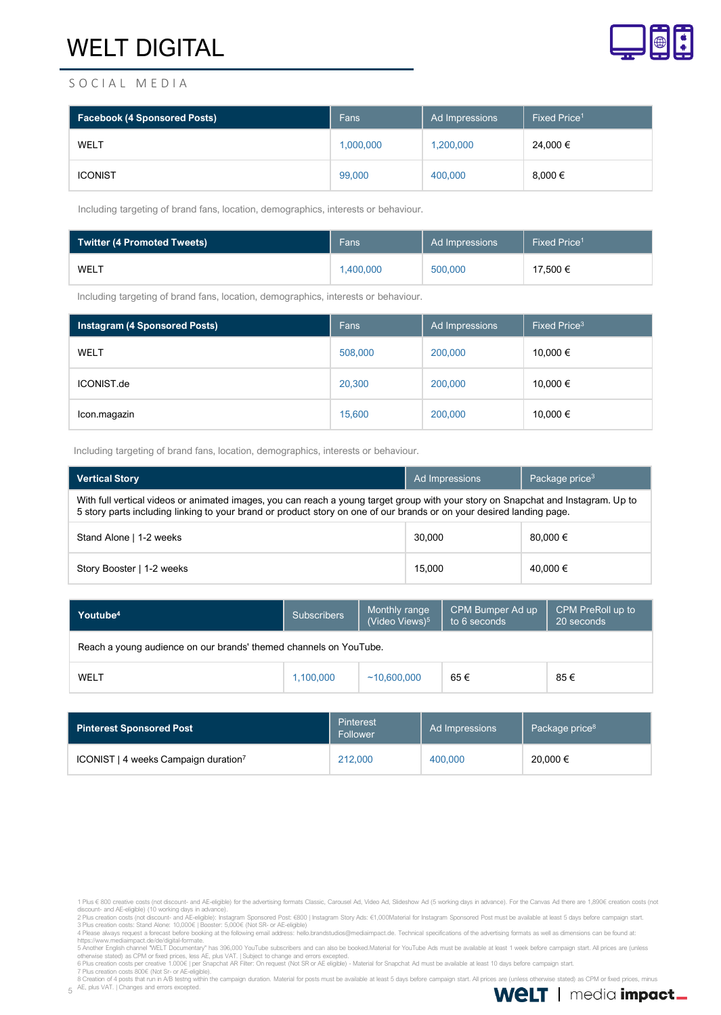

### S O C I A L M E D I A

| <b>Facebook (4 Sponsored Posts)</b> | Fans      | Ad Impressions | Fixed Price <sup>1</sup> |
|-------------------------------------|-----------|----------------|--------------------------|
| WELT                                | 1,000,000 | 1,200,000      | 24,000 €                 |
| <b>ICONIST</b>                      | 99,000    | 400,000        | $8,000 \in$              |

Including targeting of brand fans, location, demographics, interests or behaviour.

| <b>Twitter (4 Promoted Tweets)</b> | Fans      | Ad Impressions | Fixed Price <sup>1</sup> |
|------------------------------------|-----------|----------------|--------------------------|
| WELT                               | 1.400.000 | 500,000        | 17.500 €                 |

Including targeting of brand fans, location, demographics, interests or behaviour.

| <b>Instagram (4 Sponsored Posts)</b> | Fans    | Ad Impressions | Fixed Price <sup>3</sup> |
|--------------------------------------|---------|----------------|--------------------------|
| WELT                                 | 508,000 | 200,000        | 10,000 €                 |
| ICONIST.de                           | 20,300  | 200,000        | 10,000 €                 |
| Icon.magazin                         | 15,600  | 200,000        | 10,000 €                 |

Including targeting of brand fans, location, demographics, interests or behaviour.

| <b>Vertical Story</b>                                                                                                                                                                                                                                     | Ad Impressions | Package price <sup>3</sup> |  |  |
|-----------------------------------------------------------------------------------------------------------------------------------------------------------------------------------------------------------------------------------------------------------|----------------|----------------------------|--|--|
| With full vertical videos or animated images, you can reach a young target group with your story on Snapchat and Instagram. Up to<br>5 story parts including linking to your brand or product story on one of our brands or on your desired landing page. |                |                            |  |  |
| Stand Alone   1-2 weeks                                                                                                                                                                                                                                   | 30,000         | 80,000 €                   |  |  |
| Story Booster   1-2 weeks                                                                                                                                                                                                                                 | 15,000         | 40.000 €                   |  |  |

| Youtube <sup>4</sup>                                              | <b>Subscribers</b> | Monthly range<br>(Video Views) <sup>5</sup> | CPM Bumper Ad up<br>to 6 seconds | CPM PreRoll up to<br>20 seconds |
|-------------------------------------------------------------------|--------------------|---------------------------------------------|----------------------------------|---------------------------------|
| Reach a young audience on our brands' themed channels on YouTube. |                    |                                             |                                  |                                 |
| WELT                                                              | 1.100.000          | ~10.600.000                                 | 65€                              | 85€                             |

| Pinterest Sponsored Post                         | Pinterest<br>Follower | Ad Impressions | Package price <sup>8</sup> |
|--------------------------------------------------|-----------------------|----------------|----------------------------|
| ICONIST   4 weeks Campaign duration <sup>7</sup> | 212,000               | 400,000        | 20,000 €                   |

otherwise stated) as CPM or fixed prices, less AE, plus VAT. | Subject to change and errors excepted.<br>6 Plus creation costs gover and the School (per Snapchat AR Filter: On request (Not SR or AE eligible) - Material for Sn

5 AE, plus VAT. | Changes and errors excepted.



<sup>1</sup> Plus € 800 creative costs (not discount- and AE-eligible) for the advertising formats Classic, Carousel Ad, Video Ad, Slideshow Ad (5 working days in advance). For the Canvas Ad there are 1,890€ creation costs (not<br>disco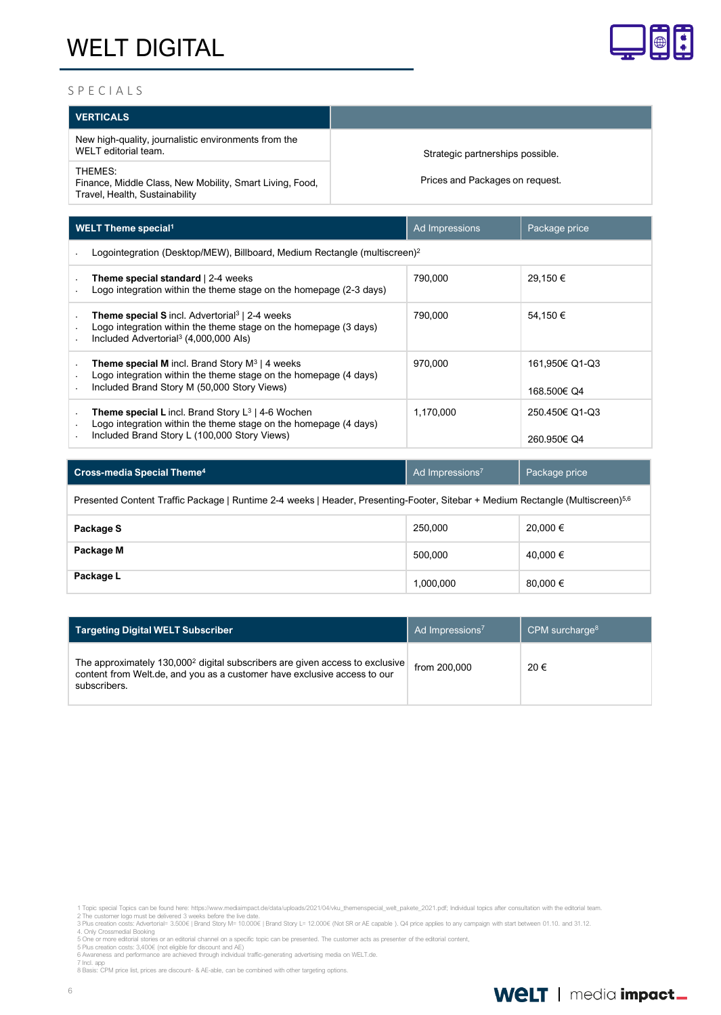

#### S P E C I A L S

| <b>VERTICALS</b>                                                                                      |                                  |
|-------------------------------------------------------------------------------------------------------|----------------------------------|
| New high-quality, journalistic environments from the<br>WELT editorial team.                          | Strategic partnerships possible. |
| THEMES:<br>Finance, Middle Class, New Mobility, Smart Living, Food,<br>Travel, Health, Sustainability | Prices and Packages on request.  |

| <b>WELT Theme special<sup>1</sup></b> |                                                                                                                                                                                            | Ad Impressions | Package price                 |  |  |  |
|---------------------------------------|--------------------------------------------------------------------------------------------------------------------------------------------------------------------------------------------|----------------|-------------------------------|--|--|--|
|                                       | Logointegration (Desktop/MEW), Billboard, Medium Rectangle (multiscreen) <sup>2</sup>                                                                                                      |                |                               |  |  |  |
|                                       | <b>Theme special standard</b>   2-4 weeks<br>Logo integration within the theme stage on the homepage (2-3 days)                                                                            | 790,000        | 29.150 €                      |  |  |  |
|                                       | <b>Theme special S</b> incl. Advertorial <sup>3</sup>   2-4 weeks<br>Logo integration within the theme stage on the homepage (3 days)<br>Included Advertorial <sup>3</sup> (4,000,000 Als) | 790.000        | 54.150 €                      |  |  |  |
|                                       | <b>Theme special M</b> incl. Brand Story $M^3$   4 weeks<br>Logo integration within the theme stage on the homepage (4 days)<br>Included Brand Story M (50,000 Story Views)                | 970.000        | 161.950€ Q1-Q3<br>168.500€ Q4 |  |  |  |
|                                       | <b>Theme special L</b> incl. Brand Story $L^3$   4-6 Wochen<br>Logo integration within the theme stage on the homepage (4 days)<br>Included Brand Story L (100,000 Story Views)            | 1.170.000      | 250.450€ Q1-Q3<br>260.950€ Q4 |  |  |  |

| <b>Cross-media Special Theme<sup>4</sup></b>                                                                                               | Ad Impressions <sup>7</sup> | Package price |  |  |  |
|--------------------------------------------------------------------------------------------------------------------------------------------|-----------------------------|---------------|--|--|--|
| Presented Content Traffic Package   Runtime 2-4 weeks   Header, Presenting-Footer, Sitebar + Medium Rectangle (Multiscreen) <sup>5,6</sup> |                             |               |  |  |  |
| Package S                                                                                                                                  | 250,000                     | 20,000 €      |  |  |  |
| Package M                                                                                                                                  | 500.000                     | 40.000 €      |  |  |  |
| Package L                                                                                                                                  | 1,000,000                   | 80.000 €      |  |  |  |

| Targeting Digital WELT Subscriber                                                                                                                                                    | Ad Impressions <sup>7</sup> | CPM surcharge $8$ |
|--------------------------------------------------------------------------------------------------------------------------------------------------------------------------------------|-----------------------------|-------------------|
| The approximately 130,000 <sup>2</sup> digital subscribers are given access to exclusive<br>content from Welt.de, and you as a customer have exclusive access to our<br>subscribers. | from 200,000                | 20€               |

- 
- 

7 Incl. app 8 Basis: CPM price list, prices are discount- & AE-able, can be combined with other targeting options.



<sup>1</sup> Topic special Topics can be found here: https://www.mediaimpact.de/data/uploads/2021/04/vku\_themenspecial\_welt\_pakete\_2021.pdf; Individual topics after consultation with the editorial team<br>2 The customer logo must be de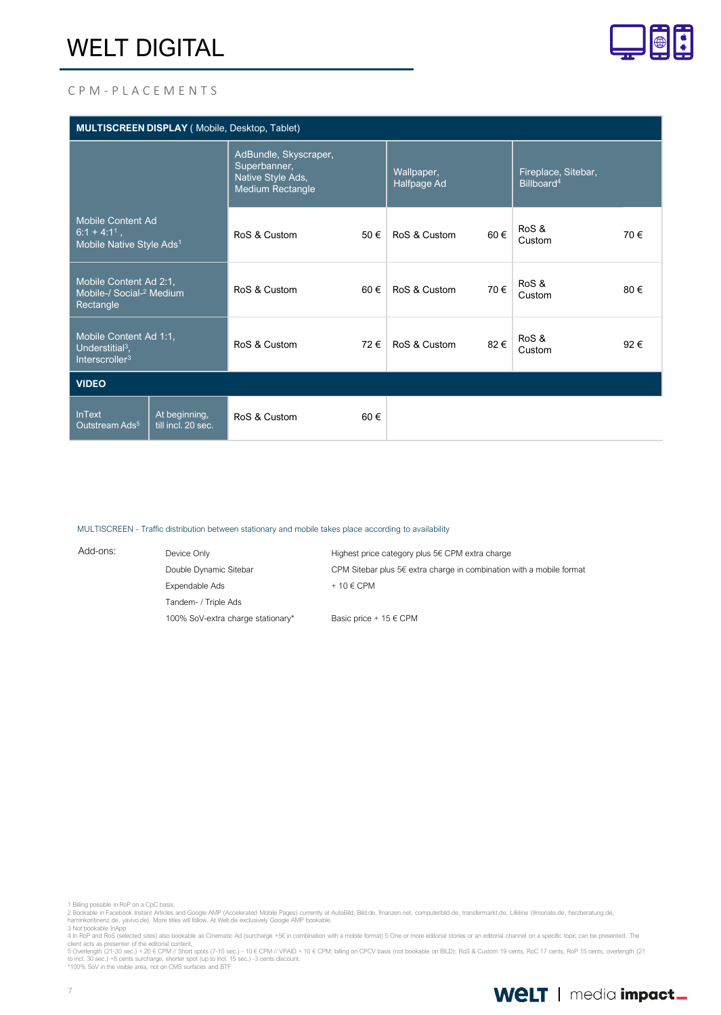

#### C P M - P L A C E M E N T S

| MULTISCREEN DISPLAY (Mobile, Desktop, Tablet)                                       |                                     |                                                                                |      |                           |     |                                               |     |
|-------------------------------------------------------------------------------------|-------------------------------------|--------------------------------------------------------------------------------|------|---------------------------|-----|-----------------------------------------------|-----|
|                                                                                     |                                     | AdBundle, Skyscraper,<br>Superbanner,<br>Native Style Ads,<br>Medium Rectangle |      | Wallpaper,<br>Halfpage Ad |     | Fireplace, Sitebar,<br>Billboard <sup>4</sup> |     |
| <b>Mobile Content Ad</b><br>$6:1 + 4:11$ ,<br>Mobile Native Style Ads <sup>1</sup>  |                                     | RoS & Custom                                                                   | 50 € | RoS & Custom              | 60€ | RoS &<br>Custom                               | 70€ |
| Mobile Content Ad 2:1,<br>Mobile-/ Social- <sup>2</sup> Medium<br>Rectangle         |                                     | RoS & Custom                                                                   | 60€  | RoS & Custom              | 70€ | RoS &<br>Custom                               | 80€ |
| Mobile Content Ad 1:1,<br>Understitial <sup>3</sup> ,<br>Interscroller <sup>3</sup> |                                     | RoS & Custom                                                                   | 72€  | RoS & Custom              | 82€ | RoS &<br>Custom                               | 92€ |
| <b>VIDEO</b>                                                                        |                                     |                                                                                |      |                           |     |                                               |     |
| <b>InText</b><br>Outstream Ads <sup>5</sup>                                         | At beginning,<br>till incl. 20 sec. | RoS & Custom                                                                   | 60€  |                           |     |                                               |     |

#### MULTISCREEN - Traffic distribution between stationary and mobile takes place according to availability

| Add-ons: | Device Only                       | Highest price category plus 5€ CPM extra charge                      |  |  |
|----------|-----------------------------------|----------------------------------------------------------------------|--|--|
|          | Double Dynamic Sitebar            | CPM Sitebar plus 5€ extra charge in combination with a mobile format |  |  |
|          | Expendable Ads                    | $+10 \in \text{CPM}$                                                 |  |  |
|          | Tandem- / Triple Ads              |                                                                      |  |  |
|          | 100% SoV-extra charge stationary* | Basic price + $15 \in \text{CPM}$                                    |  |  |

1 Billing possible in RoP on a CpC basis.

client acts as presenter of the editorial content,<br>5 Overlength (21-30 sec.) + 20 € CPM // Short spots (7-15 sec.) - 10 € CPM // VPAID + 10 € CPM; billing on CPCV basis (not bookable on BILD): RoS & Custom 19 cents, RoC 1

<sup>2</sup> Bookable in Facebook Instant Articles and Google AMP (Accelerated Mobile Pages) currently at AutoBild, Bild.de, finanzen.net, computerbild.de, transfermarkt.de, Lifeline (9monate.de, herzberatung.de,<br>harninkontinenz.de,